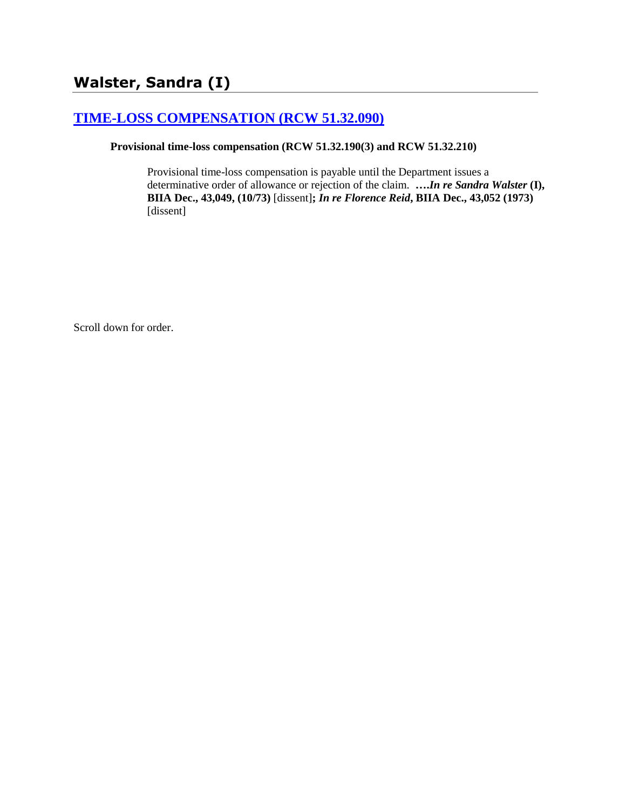# **[TIME-LOSS COMPENSATION \(RCW 51.32.090\)](http://www.biia.wa.gov/SDSubjectIndex.html#TIME_LOSS_COMPENSATION)**

## **Provisional time-loss compensation (RCW 51.32.190(3) and RCW 51.32.210)**

Provisional time-loss compensation is payable until the Department issues a determinative order of allowance or rejection of the claim. **….***In re Sandra Walster* **(I), BIIA Dec., 43,049, (10/73)** [dissent]**;** *In re Florence Reid***, BIIA Dec., 43,052 (1973)**  [dissent]

Scroll down for order.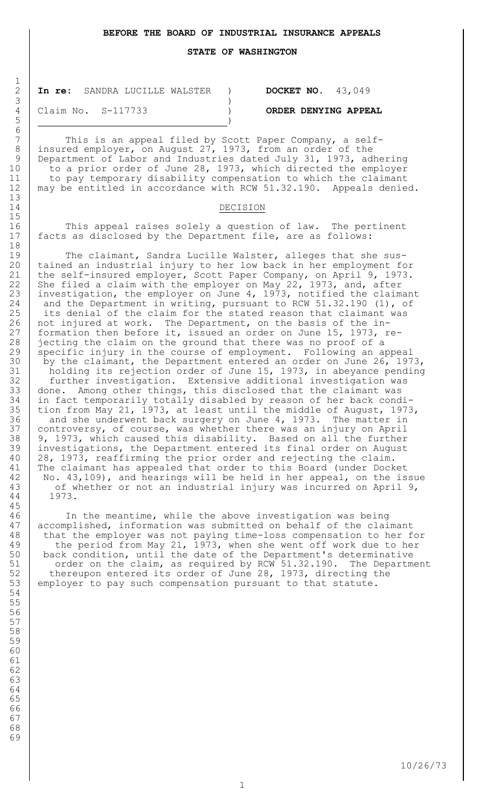**STATE OF WASHINGTON**

2 **In re:** SANDRA LUCILLE WALSTER ) **DOCKET NO.** 43,049  $3 \left( \frac{1}{2} \right)$ 

4 Claim No. S-117733 ) **ORDER DENYING APPEAL**

7 This is an appeal filed by Scott Paper Company, a self-8 insured employer, on August 27, 1973, from an order of the 9 Department of Labor and Industries dated July 31, 1973, adhering 10 to a prior order of June 28, 1973, which directed the employer 11 to pay temporary disability compensation to which the claimant 12 | may be entitled in accordance with RCW 51.32.190. Appeals denied.

#### 14 DECISION

16 This appeal raises solely a question of law. The pertinent 17 facts as disclosed by the Department file, are as follows:

19 The claimant, Sandra Lucille Walster, alleges that she sus-20 tained an industrial injury to her low back in her employment for 21 the self-insured employer, Scott Paper Company, on April 9, 1973. 22 She filed a claim with the employer on May 22, 1973, and, after 23 investigation, the employer on June 4, 1973, notified the claimant 24 | and the Department in writing, pursuant to RCW 51.32.190 (1), of 25 | its denial of the claim for the stated reason that claimant was 26 | not injured at work. The Department, on the basis of the in-27 formation then before it, issued an order on June 15, 1973, re-28 jecting the claim on the ground that there was no proof of a 29 | specific injury in the course of employment. Following an appeal

30 by the claimant, the Department entered an order on June 26, 1973, 31 | holding its rejection order of June 15, 1973, in abeyance pending 32 further investigation. Extensive additional investigation was 33 | done. Among other things, this disclosed that the claimant was 34 in fact temporarily totally disabled by reason of her back condi-35 tion from May 21, 1973, at least until the middle of August, 1973, 36 and she underwent back surgery on June 4, 1973. The matter in 37 | controversy, of course, was whether there was an injury on April 38 | 9, 1973, which caused this disability. Based on all the further 39 investigations, the Department entered its final order on August 40 28, 1973, reaffirming the prior order and rejecting the claim. 41 The claimant has appealed that order to this Board (under Docket 42 | No. 43,109), and hearings will be held in her appeal, on the issue 43 | of whether or not an industrial injury was incurred on April 9, 44 1973.

46 In the meantime, while the above investigation was being 47 accomplished, information was submitted on behalf of the claimant 48 that the employer was not paying time-loss compensation to her for 49 the period from May 21, 1973, when she went off work due to her 50 back condition, until the date of the Department's determinative 51 order on the claim, as required by RCW 51.32.190. The Department 52 thereupon entered its order of June 28, 1973, directing the<br>53 employer to pay such compensation pursuant to that statute. employer to pay such compensation pursuant to that statute.

68 69

 $\frac{1}{2}$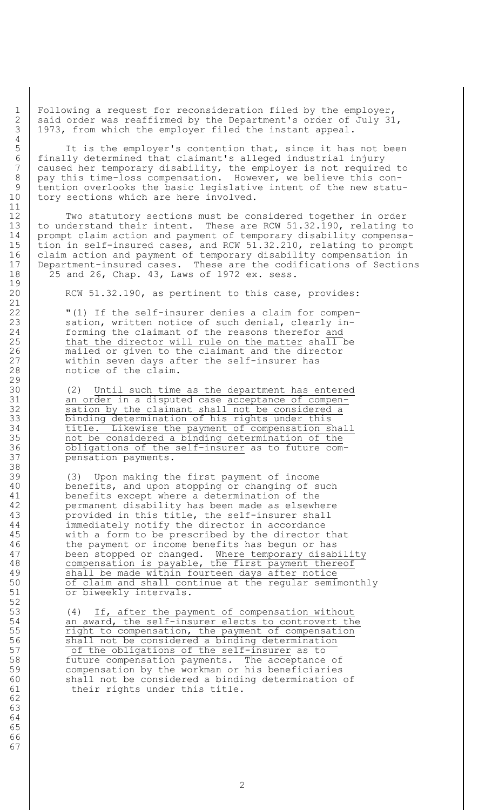1 Following a request for reconsideration filed by the employer, 2 said order was reaffirmed by the Department's order of July 31, 3 1973, from which the employer filed the instant appeal.

 It is the employer's contention that, since it has not been finally determined that claimant's alleged industrial injury caused her temporary disability, the employer is not required to 8 pay this time-loss compensation. However, we believe this con- tention overlooks the basic legislative intent of the new statu-10 tory sections which are here involved.

12 Two statutory sections must be considered together in order 13 to understand their intent. These are RCW 51.32.190, relating to 14 prompt claim action and payment of temporary disability compensa-15 tion in self-insured cases, and RCW 51.32.210, relating to prompt 16 claim action and payment of temporary disability compensation in 17 Department-insured cases. These are the codifications of Sections 18 25 and 26, Chap. 43, Laws of 1972 ex. sess.

20 RCW 51.32.190, as pertinent to this case, provides:

22 | "(1) If the self-insurer denies a claim for compen-23 sation, written notice of such denial, clearly in-24 forming the claimant of the reasons therefor and 25 that the director will rule on the matter shall be 26 mailed or given to the claimant and the director<br>27 within seven days after the self-insurer has within seven days after the self-insurer has 28 notice of the claim.

30 (2) Until such time as the department has entered 31 an order in a disputed case acceptance of compen-32 sation by the claimant shall not be considered a 33 binding determination of his rights under this 34 title. Likewise the payment of compensation shall 35 not be considered a binding determination of the 36 obligations of the self-insurer as to future com-37 pensation payments.

39 (3) Upon making the first payment of income 40 benefits, and upon stopping or changing of such 41 benefits except where a determination of the 42 permanent disability has been made as elsewhere 43 provided in this title, the self-insurer shall 44 immediately notify the director in accordance 45 with a form to be prescribed by the director that 46 the payment or income benefits has begun or has 47 been stopped or changed. Where temporary disability 48 compensation is payable, the first payment thereof 49 Shall be made within fourteen days after notice 50 of claim and shall continue at the regular semimonthly 51 or biweekly intervals.

53 (4) If, after the payment of compensation without 54 an award, the self-insurer elects to controvert the 55 Tight to compensation, the payment of compensation 56 shall not be considered a binding determination 56 **Shall not be considered a binding determination**<br>57 of the obligations of the self-insurer as to 58 future compensation payments. The acceptance of 59 compensation by the workman or his beneficiaries 60 | shall not be considered a binding determination of 61 their rights under this title.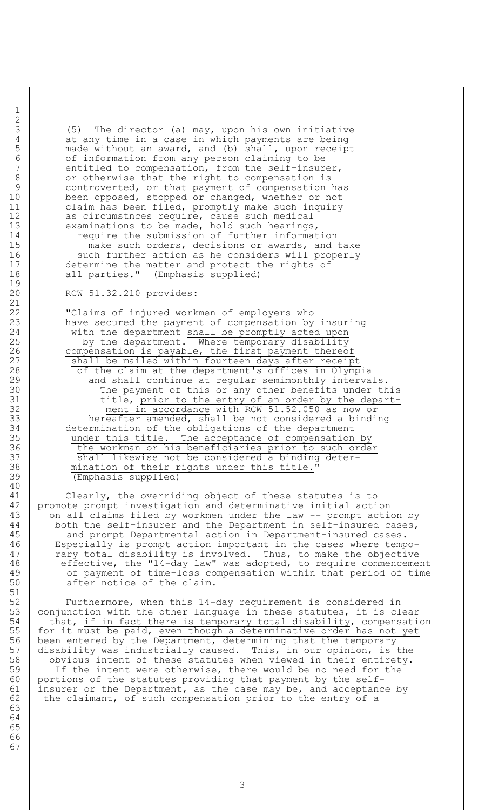3 (5) The director (a) may, upon his own initiative 4 at any time in a case in which payments are being<br>5 made without an award, and (b) shall, upon receip made without an award, and (b) shall, upon receipt 6 of information from any person claiming to be<br>7 entitled to compensation, from the self-insur entitled to compensation, from the self-insurer, 8 or otherwise that the right to compensation is 9 controverted, or that payment of compensation has 10 been opposed, stopped or changed, whether or not 11 | claim has been filed, promptly make such inquiry 12 as circumstnces require, cause such medical 13 examinations to be made, hold such hearings, 14 Tequire the submission of further information

15 make such orders, decisions or awards, and take 16 | such further action as he considers will properly 17 determine the matter and protect the rights of 18 all parties." (Emphasis supplied)

#### 20 RCW 51.32.210 provides:

22 **W** Claims of injured workmen of employers who 23 have secured the payment of compensation by insuring 24 with the department shall be promptly acted upon 25 by the department. Where temporary disability 26 compensation is payable, the first payment thereof 27 | Shall be mailed within fourteen days after receipt 28 | of the claim at the department's offices in Olympia 29 and shall continue at regular semimonthly intervals. 30 The payment of this or any other benefits under this 31 detail title, prior to the entry of an order by the depart-32 ment in accordance with RCW 51.52.050 as now or 33 hereafter amended, shall be not considered a binding 34 determination of the obligations of the department 35 under this title. The acceptance of compensation by 36 the workman or his beneficiaries prior to such order 37 Shall likewise not be considered a binding deter-38 mination of their rights under this title.' 39 (Emphasis supplied)

41 Clearly, the overriding object of these statutes is to 42 promote prompt investigation and determinative initial action 43 on all claims filed by workmen under the law -- prompt action by 44 | both the self-insurer and the Department in self-insured cases, 45 | and prompt Departmental action in Department-insured cases. 46 Especially is prompt action important in the cases where tempo-47 The rary total disability is involved. Thus, to make the objective 48 effective, the "14-day law" was adopted, to require commencement 49 of payment of time-loss compensation within that period of time 50 after notice of the claim.

52 Furthermore, when this 14-day requirement is considered in 53  $\vert$  conjunction with the other language in these statutes, it is clear 54 that, if in fact there is temporary total disability, compensation 55 for it must be paid, even though a determinative order has not yet 56 been entered by the Department, determining that the temporary 57 disability was industrially caused. This, in our opinion, is the 58 | obvious intent of these statutes when viewed in their entirety. 59 | If the intent were otherwise, there would be no need for the 60 portions of the statutes providing that payment by the self-61 | insurer or the Department, as the case may be, and acceptance by 62 the claimant, of such compensation prior to the entry of a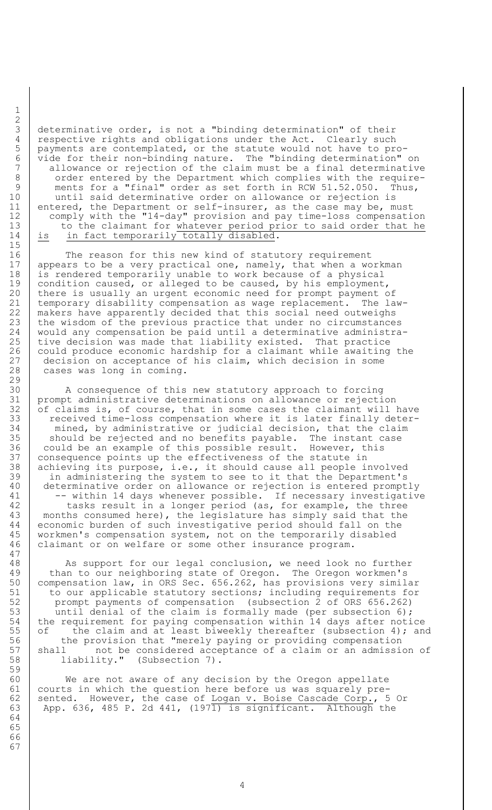determinative order, is not a "binding determination" of their 4 respective rights and obligations under the Act. Clearly such<br>5 payments are contemplated, or the statute would not have to pro payments are contemplated, or the statute would not have to pro- $\begin{bmatrix} 6 \\ 7 \end{bmatrix}$  vide for their non-binding nature. The "binding determination" on<br>7 allowance or rejection of the claim must be a final determinativ allowance or rejection of the claim must be a final determinative 8 | order entered by the Department which complies with the require-9 | ments for a "final" order as set forth in RCW 51.52.050. Thus, 10 | until said determinative order on allowance or rejection is 11 entered, the Department or self-insurer, as the case may be, must 12 comply with the "14-day" provision and pay time-loss compensation 13 | to the claimant for whatever period prior to said order that he 14 is in fact temporarily totally disabled.

16 The reason for this new kind of statutory requirement 17 appears to be a very practical one, namely, that when a workman 18 is rendered temporarily unable to work because of a physical 19 condition caused, or alleged to be caused, by his employment, 20 there is usually an urgent economic need for prompt payment of 21 temporary disability compensation as wage replacement. The law-22 makers have apparently decided that this social need outweighs<br>23 the wisdom of the previous practice that under no circumstance the wisdom of the previous practice that under no circumstances 24 would any compensation be paid until a determinative administra-25 | tive decision was made that liability existed. That practice 26 could produce economic hardship for  $\bar{a}$  claimant while awaiting the  $27$  decision on acceptance of his claim, which decision in some decision on acceptance of his claim, which decision in some 28 cases was long in coming.

30 A consequence of this new statutory approach to forcing 31 prompt administrative determinations on allowance or rejection  $32$  of claims is, of course, that in some cases the claimant will have 33 received time-loss compensation where it is later finally deter-34 mined, by administrative or judicial decision, that the claim 35 should be rejected and no benefits payable. The instant case 36 could be an example of this possible result. However, this 37 | consequence points up the effectiveness of the statute in 38 achieving its purpose, i.e., it should cause all people involved 39 in administering the system to see to it that the Department's 40 determinative order on allowance or rejection is entered promptly 41 -- within 14 days whenever possible. If necessary investigative 42 tasks result in a longer period (as, for example, the three 43 | months consumed here), the legislature has simply said that the 44 economic burden of such investigative period should fall on the 45 workmen's compensation system, not on the temporarily disabled 46 claimant or on welfare or some other insurance program.

48 | As support for our legal conclusion, we need look no further 49 than to our neighboring state of Oregon. The Oregon workmen's 50 compensation law, in ORS Sec. 656.262, has provisions very similar 51 to our applicable statutory sections; including requirements for 51 to our applicable statutory sections; including requirements fo<br>52 prompt payments of compensation (subsection 2 of ORS 656.262) 53 until denial of the claim is formally made (per subsection 6); 54 the requirement for paying compensation within 14 days after notice 55 of the claim and at least biweekly thereafter (subsection 4); and 56 the provision that "merely paying or providing compensation 57 shall on the considered acceptance of a claim or an admission of 58 liability." (Subsection 7).

60 We are not aware of any decision by the Oregon appellate 61 courts in which the question here before us was squarely pre-62 sented. However, the case of Logan v. Boise Cascade Corp., 5 Or 63 App. 636, 485 P. 2d 441,  $(197\overline{1})$  is significant. Although the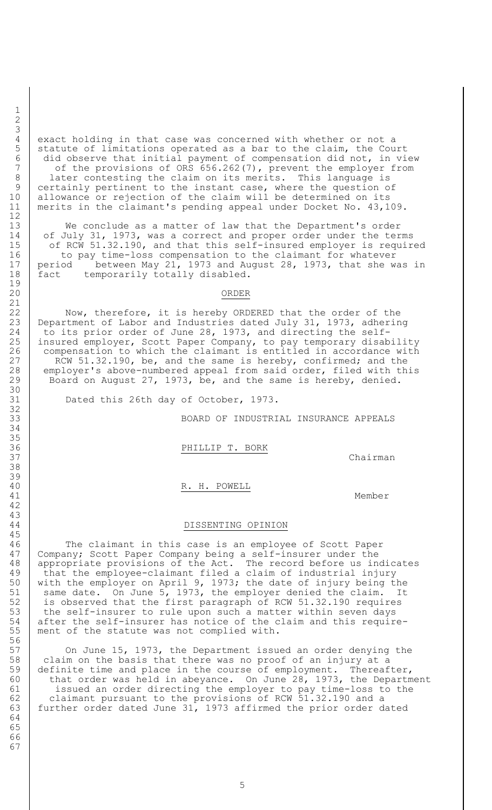4 exact holding in that case was concerned with whether or not a<br>5 statute of limitations operated as a bar to the claim, the Cou statute of limitations operated as a bar to the claim, the Court did observe that initial payment of compensation did not, in view 7 of the provisions of ORS 656.262(7), prevent the employer from 8 | later contesting the claim on its merits. This language is 9 certainly pertinent to the instant case, where the question of allowance or rejection of the claim will be determined on its merits in the claimant's pending appeal under Docket No. 43,109.

 We conclude as a matter of law that the Department's order of July 31, 1973, was a correct and proper order under the terms 15 | of RCW 51.32.190, and that this self-insured employer is required 16 to pay time-loss compensation to the claimant for whatever period between May 21, 1973 and August 28, 1973, that she was in 18 | fact temporarily totally disabled.

### ORDER

22 Now, therefore, it is hereby ORDERED that the order of the Department of Labor and Industries dated July 31, 1973, adhering to its prior order of June 28, 1973, and directing the self- insured employer, Scott Paper Company, to pay temporary disability compensation to which the claimant is entitled in accordance with 27 | RCW 51.32.190, be, and the same is hereby, confirmed; and the employer's above-numbered appeal from said order, filed with this 29 Board on August 27, 1973, be, and the same is hereby, denied.

Dated this 26th day of October, 1973.

BOARD OF INDUSTRIAL INSURANCE APPEALS

36 PHILLIP T. BORK

37 Chairman

40 R. H. POWELL

41 Member

#### DISSENTING OPINION

 The claimant in this case is an employee of Scott Paper Company; Scott Paper Company being a self-insurer under the appropriate provisions of the Act. The record before us indicates that the employee-claimant filed a claim of industrial injury with the employer on April 9, 1973; the date of injury being the 51 | same date. On June 5, 1973, the employer denied the claim. It 51 same date. On June 5, 1973, the employer denied the claim. I<br>52 is observed that the first paragraph of RCW 51.32.190 requires 53 the self-insurer to rule upon such a matter within seven days after the self-insurer has notice of the claim and this require-ment of the statute was not complied with.

57 On June 15, 1973, the Department issued an order denying the claim on the basis that there was no proof of an injury at a 59 definite time and place in the course of employment. Thereafter, 60 | that order was held in abeyance. On June 28, 1973, the Department 61 issued an order directing the employer to pay time-loss to the 62 claimant pursuant to the provisions of RCW 51.32.190 and a further order dated June 31, 1973 affirmed the prior order dated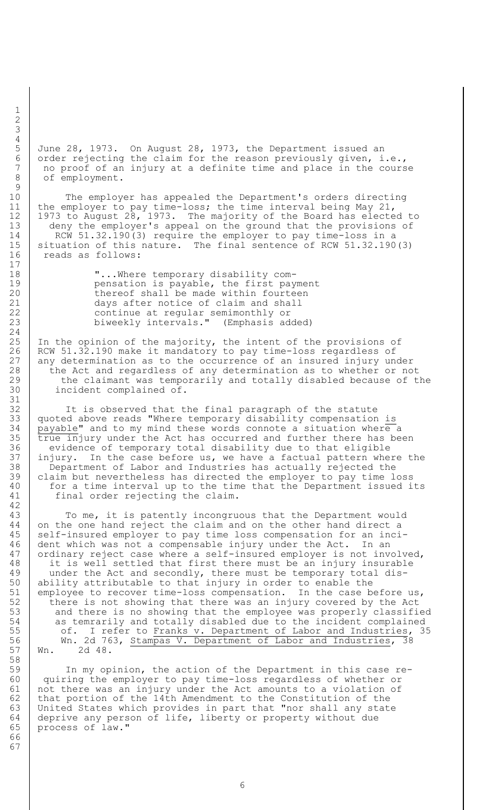June 28, 1973. On August 28, 1973, the Department issued an 6 order rejecting the claim for the reason previously given, i.e., 7 no proof of an injury at a definite time and place in the course 8 of employment.

10 The employer has appealed the Department's orders directing 11 the employer to pay time-loss; the time interval being May 21, 12 1973 to August 28, 1973. The majority of the Board has elected to 13 deny the employer's appeal on the ground that the provisions of 14 RCW 51.32.190(3) require the employer to pay time-loss in a 15 situation of this nature. The final sentence of RCW 51.32.190(3) 16 reads as follows:

18 | "...Where temporary disability com-19 **pensation is payable, the first payment** 20 | thereof shall be made within fourteen 21 days after notice of claim and shall 22 continue at regular semimonthly or<br>23 biweekly intervals." (Emphasis ad biweekly intervals." (Emphasis added)

25 | In the opinion of the majority, the intent of the provisions of 26 RCW 51.32.190 make it mandatory to pay time-loss regardless of 27 any determination as to the occurrence of an insured injury under 28 the Act and regardless of any determination as to whether or not 29 the claimant was temporarily and totally disabled because of the 30 incident complained of.

32 It is observed that the final paragraph of the statute 33 quoted above reads "Where temporary disability compensation is  $34$  | payable" and to my mind these words connote a situation where a  $35$   $\sqrt{\frac{1}{2}}$  true injury under the Act has occurred and further there has been 36 evidence of temporary total disability due to that eligible<br>37 iniury. In the case before us, we have a factual pattern whe injury. In the case before us, we have a factual pattern where the 38 Department of Labor and Industries has actually rejected the 39 claim but nevertheless has directed the employer to pay time loss 40 | for a time interval up to the time that the Department issued its 41 final order rejecting the claim.

43 | To me, it is patently incongruous that the Department would 44 on the one hand reject the claim and on the other hand direct a 45 self-insured employer to pay time loss compensation for an inci-46 dent which was not a compensable injury under the Act. In an 47 | ordinary reject case where a self-insured employer is not involved, 48 it is well settled that first there must be an injury insurable 49 under the Act and secondly, there must be temporary total dis-50 ability attributable to that injury in order to enable the 51 employee to recover time-loss compensation. In the case before us, 52 there is not showing that there was an injury covered by the Act 53 and there is no showing that the employee was properly classified 54 as temrarily and totally disabled due to the incident complained 55 of. I refer to Franks v. Department of Labor and Industries, 35 56 Wn. 2d 763, Stampas V. Department of Labor and Industries, 38 57 Wn. 2d 48.

 In my opinion, the action of the Department in this case re- quiring the employer to pay time-loss regardless of whether or not there was an injury under the Act amounts to a violation of 62 that portion of the 14th Amendment to the Constitution of the United States which provides in part that "nor shall any state deprive any person of life, liberty or property without due process of law."

1